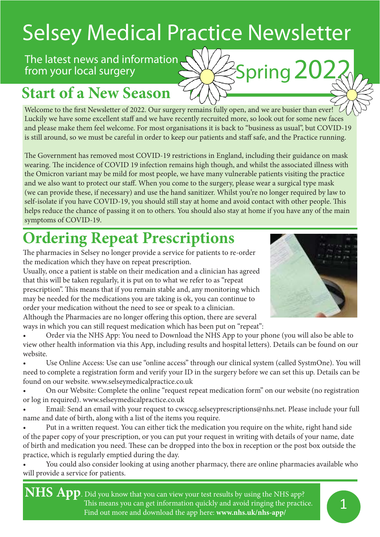# Selsey Medical Practice Newsletter

### The latest news and information SWASpring 202 from your local surgery

## **Start of a New Season**

Welcome to the first Newsletter of 2022. Our surgery remains fully open, and we are busier than ever! Luckily we have some excellent staff and we have recently recruited more, so look out for some new faces and please make them feel welcome. For most organisations it is back to "business as usual", but COVID-19 is still around, so we must be careful in order to keep our patients and staff safe, and the Practice running.

The Government has removed most COVID-19 restrictions in England, including their guidance on mask wearing. The incidence of COVID 19 infection remains high though, and whilst the associated illness with the Omicron variant may be mild for most people, we have many vulnerable patients visiting the practice and we also want to protect our staff. When you come to the surgery, please wear a surgical type mask (we can provide these, if necessary) and use the hand sanitizer. Whilst you're no longer required by law to self-isolate if you have COVID-19, you should still stay at home and avoid contact with other people. This helps reduce the chance of passing it on to others. You should also stay at home if you have any of the main symptoms of COVID-19.

## **Ordering Repeat Prescriptions**

The pharmacies in Selsey no longer provide a service for patients to re-order the medication which they have on repeat prescription.

Usually, once a patient is stable on their medication and a clinician has agreed that this will be taken regularly, it is put on to what we refer to as "repeat prescription". This means that if you remain stable and, any monitoring which may be needed for the medications you are taking is ok, you can continue to order your medication without the need to see or speak to a clinician. Although the Pharmacies are no longer offering this option, there are several ways in which you can still request medication which has been put on "repeat":



• Order via the NHS App: You need to Download the NHS App to your phone (you will also be able to view other health information via this App, including results and hospital letters). Details can be found on our website.

• Use Online Access: Use can use "online access" through our clinical system (called SystmOne). You will need to complete a registration form and verify your ID in the surgery before we can set this up. Details can be found on our website. www.selseymedicalpractice.co.uk

• On our Website: Complete the online "request repeat medication form" on our website (no registration or log in required). www.selseymedicalpractice.co.uk

• Email: Send an email with your request to cwsccg.selseyprescriptions@nhs.net. Please include your full name and date of birth, along with a list of the items you require.

• Put in a written request. You can either tick the medication you require on the white, right hand side of the paper copy of your prescription, or you can put your request in writing with details of your name, date of birth and medication you need. These can be dropped into the box in reception or the post box outside the practice, which is regularly emptied during the day.

• You could also consider looking at using another pharmacy, there are online pharmacies available who will provide a service for patients.

**NHS App**. Did you know that you can view your test results by using the NHS app? This means you can get information quickly and avoid ringing the practice. Find out more and download the app here: **www.nhs.uk/nhs-app/**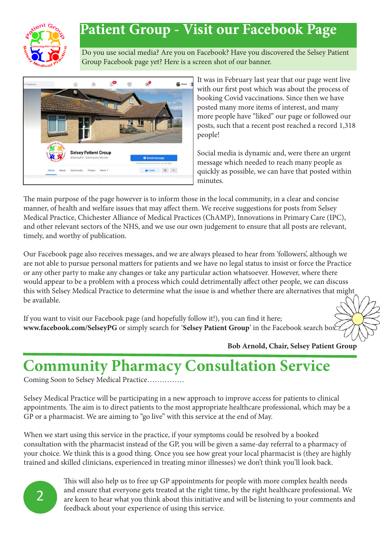

## **Patient Group - Visit our Facebook Page**

Do you use social media? Are you on Facebook? Have you discovered the Selsey Patient Group Facebook page yet? Here is a screen shot of our banner.



It was in February last year that our page went live with our first post which was about the process of booking Covid vaccinations. Since then we have posted many more items of interest, and many more people have "liked" our page or followed our posts, such that a recent post reached a record 1,318 people!

Social media is dynamic and, were there an urgent message which needed to reach many people as quickly as possible, we can have that posted within minutes.

The main purpose of the page however is to inform those in the local community, in a clear and concise manner, of health and welfare issues that may affect them. We receive suggestions for posts from Selsey Medical Practice, Chichester Alliance of Medical Practices (ChAMP), Innovations in Primary Care (IPC), and other relevant sectors of the NHS, and we use our own judgement to ensure that all posts are relevant, timely, and worthy of publication.

Our Facebook page also receives messages, and we are always pleased to hear from 'followers', although we are not able to pursue personal matters for patients and we have no legal status to insist or force the Practice or any other party to make any changes or take any particular action whatsoever. However, where there would appear to be a problem with a process which could detrimentally affect other people, we can discuss this with Selsey Medical Practice to determine what the issue is and whether there are alternatives that might be available.

If you want to visit our Facebook page (and hopefully follow it!), you can find it here; **www.facebook.com/SelseyPG** or simply search for '**Selsey Patient Group**' in the Facebook search box.

**Bob Arnold, Chair, Selsey Patient Group**

## **Community Pharmacy Consultation Service**

Coming Soon to Selsey Medical Practice……………

Selsey Medical Practice will be participating in a new approach to improve access for patients to clinical appointments. The aim is to direct patients to the most appropriate healthcare professional, which may be a GP or a pharmacist. We are aiming to "go live" with this service at the end of May.

When we start using this service in the practice, if your symptoms could be resolved by a booked consultation with the pharmacist instead of the GP, you will be given a same-day referral to a pharmacy of your choice. We think this is a good thing. Once you see how great your local pharmacist is (they are highly trained and skilled clinicians, experienced in treating minor illnesses) we don't think you'll look back.



This will also help us to free up GP appointments for people with more complex health needs and ensure that everyone gets treated at the right time, by the right healthcare professional. We are keen to hear what you think about this initiative and will be listening to your comments and feedback about your experience of using this service.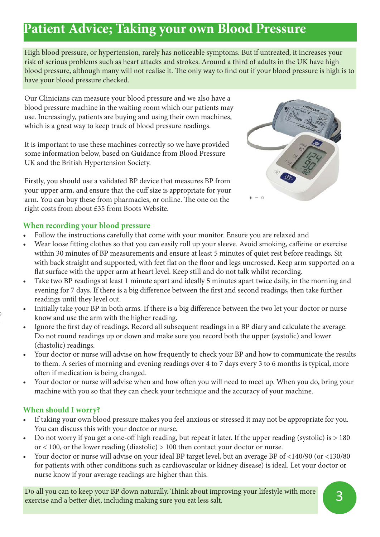### **Patient Advice; Taking your own Blood Pressure**

High blood pressure, or hypertension, rarely has noticeable symptoms. But if untreated, it increases your risk of serious problems such as heart attacks and strokes. Around a third of adults in the UK have high blood pressure, although many will not realise it. The only way to find out if your blood pressure is high is to have your blood pressure checked.

Our Clinicians can measure your blood pressure and we also have a blood pressure machine in the waiting room which our patients may use. Increasingly, patients are buying and using their own machines, which is a great way to keep track of blood pressure readings.

It is important to use these machines correctly so we have provided some information below, based on Guidance from Blood Pressure UK and the British Hypertension Society.

Firstly, you should use a validated BP device that measures BP from your upper arm, and ensure that the cuff size is appropriate for your arm. You can buy these from pharmacies, or online. The one on the right costs from about £35 from Boots Website.



#### **When recording your blood pressure**

- Follow the instructions carefully that come with your monitor. Ensure you are relaxed and
- Wear loose fitting clothes so that you can easily roll up your sleeve. Avoid smoking, caffeine or exercise within 30 minutes of BP measurements and ensure at least 5 minutes of quiet rest before readings. Sit with back straight and supported, with feet flat on the floor and legs uncrossed. Keep arm supported on a flat surface with the upper arm at heart level. Keep still and do not talk whilst recording.
- Take two BP readings at least 1 minute apart and ideally 5 minutes apart twice daily, in the morning and evening for 7 days. If there is a big difference between the first and second readings, then take further readings until they level out.
- Initially take your BP in both arms. If there is a big difference between the two let your doctor or nurse know and use the arm with the higher reading.
- Ignore the first day of readings. Record all subsequent readings in a BP diary and calculate the average. Do not round readings up or down and make sure you record both the upper (systolic) and lower (diastolic) readings.
- Your doctor or nurse will advise on how frequently to check your BP and how to communicate the results to them. A series of morning and evening readings over 4 to 7 days every 3 to 6 months is typical, more often if medication is being changed.
- Your doctor or nurse will advise when and how often you will need to meet up. When you do, bring your machine with you so that they can check your technique and the accuracy of your machine.

#### **When should I worry?**

- If taking your own blood pressure makes you feel anxious or stressed it may not be appropriate for you. You can discuss this with your doctor or nurse.
- Do not worry if you get a one-off high reading, but repeat it later. If the upper reading (systolic) is > 180 or < 100, or the lower reading (diastolic) > 100 then contact your doctor or nurse.
- Your doctor or nurse will advise on your ideal BP target level, but an average BP of <140/90 (or <130/80 for patients with other conditions such as cardiovascular or kidney disease) is ideal. Let your doctor or nurse know if your average readings are higher than this.

Do all you can to keep your BP down naturally. Think about improving your lifestyle with more exercise and a better diet, including making sure you eat less salt.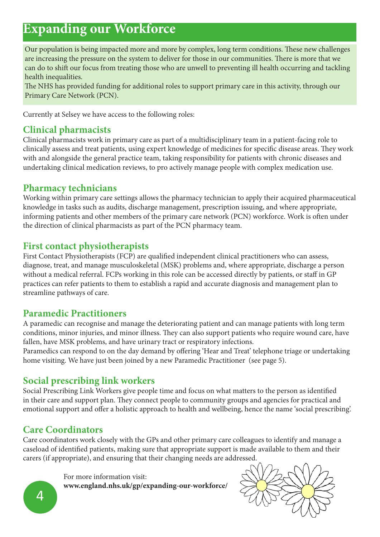### **Expanding our Workforce**

Our population is being impacted more and more by complex, long term conditions. These new challenges are increasing the pressure on the system to deliver for those in our communities. There is more that we can do to shift our focus from treating those who are unwell to preventing ill health occurring and tackling health inequalities.

The NHS has provided funding for additional roles to support primary care in this activity, through our Primary Care Network (PCN).

Currently at Selsey we have access to the following roles:

#### **Clinical pharmacists**

Clinical pharmacists work in primary care as part of a multidisciplinary team in a patient-facing role to clinically assess and treat patients, using expert knowledge of medicines for specific disease areas. They work with and alongside the general practice team, taking responsibility for patients with chronic diseases and undertaking clinical medication reviews, to pro actively manage people with complex medication use.

#### **Pharmacy technicians**

Working within primary care settings allows the pharmacy technician to apply their acquired pharmaceutical knowledge in tasks such as audits, discharge management, prescription issuing, and where appropriate, informing patients and other members of the primary care network (PCN) workforce. Work is often under the direction of clinical pharmacists as part of the PCN pharmacy team.

#### **First contact physiotherapists**

First Contact Physiotherapists (FCP) are qualified independent clinical practitioners who can assess, diagnose, treat, and manage musculoskeletal (MSK) problems and, where appropriate, discharge a person without a medical referral. FCPs working in this role can be accessed directly by patients, or staff in GP practices can refer patients to them to establish a rapid and accurate diagnosis and management plan to streamline pathways of care.

#### **Paramedic Practitioners**

A paramedic can recognise and manage the deteriorating patient and can manage patients with long term conditions, minor injuries, and minor illness. They can also support patients who require wound care, have fallen, have MSK problems, and have urinary tract or respiratory infections.

Paramedics can respond to on the day demand by offering 'Hear and Treat' telephone triage or undertaking home visiting. We have just been joined by a new Paramedic Practitioner (see page 5).

#### **Social prescribing link workers**

Social Prescribing Link Workers give people time and focus on what matters to the person as identified in their care and support plan. They connect people to community groups and agencies for practical and emotional support and offer a holistic approach to health and wellbeing, hence the name 'social prescribing'.

#### **Care Coordinators**

Care coordinators work closely with the GPs and other primary care colleagues to identify and manage a caseload of identified patients, making sure that appropriate support is made available to them and their carers (if appropriate), and ensuring that their changing needs are addressed.

For more information visit:

**www.england.nhs.uk/gp/expanding-our-workforce/**

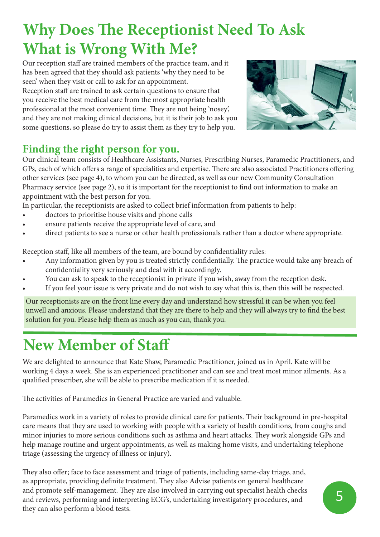## **Why Does The Receptionist Need To Ask What is Wrong With Me?**

Our reception staff are trained members of the practice team, and it has been agreed that they should ask patients 'why they need to be seen' when they visit or call to ask for an appointment.

Reception staff are trained to ask certain questions to ensure that you receive the best medical care from the most appropriate health professional at the most convenient time. They are not being 'nosey', and they are not making clinical decisions, but it is their job to ask you some questions, so please do try to assist them as they try to help you.



#### **Finding the right person for you.**

Our clinical team consists of Healthcare Assistants, Nurses, Prescribing Nurses, Paramedic Practitioners, and GPs, each of which offers a range of specialities and expertise. There are also associated Practitioners offering other services (see page 4), to whom you can be directed, as well as our new Community Consultation Pharmacy service (see page 2), so it is important for the receptionist to find out information to make an appointment with the best person for you.

In particular, the receptionists are asked to collect brief information from patients to help:

- doctors to prioritise house visits and phone calls
- ensure patients receive the appropriate level of care, and
- direct patients to see a nurse or other health professionals rather than a doctor where appropriate.

Reception staff, like all members of the team, are bound by confidentiality rules:

- Any information given by you is treated strictly confidentially. The practice would take any breach of confidentiality very seriously and deal with it accordingly.
- You can ask to speak to the receptionist in private if you wish, away from the reception desk.
- If you feel your issue is very private and do not wish to say what this is, then this will be respected.

Our receptionists are on the front line every day and understand how stressful it can be when you feel unwell and anxious. Please understand that they are there to help and they will always try to find the best solution for you. Please help them as much as you can, thank you.

## **New Member of Staff**

We are delighted to announce that Kate Shaw, Paramedic Practitioner, joined us in April. Kate will be working 4 days a week. She is an experienced practitioner and can see and treat most minor ailments. As a qualified prescriber, she will be able to prescribe medication if it is needed.

The activities of Paramedics in General Practice are varied and valuable.

Paramedics work in a variety of roles to provide clinical care for patients. Their background in pre-hospital care means that they are used to working with people with a variety of health conditions, from coughs and minor injuries to more serious conditions such as asthma and heart attacks. They work alongside GPs and help manage routine and urgent appointments, as well as making home visits, and undertaking telephone triage (assessing the urgency of illness or injury).

They also offer; face to face assessment and triage of patients, including same-day triage, and, as appropriate, providing definite treatment. They also Advise patients on general healthcare and promote self-management. They are also involved in carrying out specialist health checks and reviews, performing and interpreting ECG's, undertaking investigatory procedures, and they can also perform a blood tests.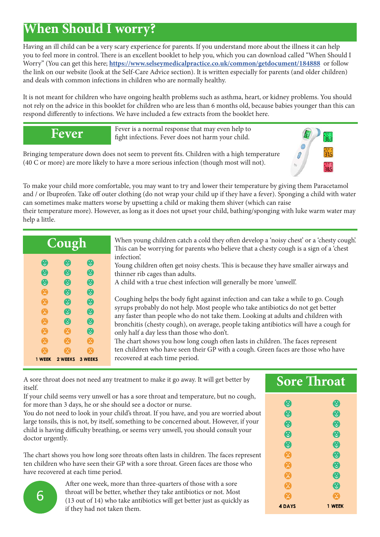### **When Should I worry?**

Having an ill child can be a very scary experience for parents. If you understand more about the illness it can help you to feel more in control. There is an excellent booklet to help you, which you can download called "When Should I Worry" (You can get this here; **https://www.selseymedicalpractice.co.uk/common/getdocument/184888** or follow the link on our website (look at the Self-Care Advice section). It is written especially for parents (and older children) and deals with common infections in children who are normally healthy.

It is not meant for children who have ongoing health problems such as asthma, heart, or kidney problems. You should not rely on the advice in this booklet for children who are less than 6 months old, because babies younger than this can respond differently to infections. We have included a few extracts from the booklet here.

**Fever**

Fever is a normal response that may even help to fight infections. Fever does not harm your child.

Bringing temperature down does not seem to prevent fits. Children with a high temperature (40 C or more) are more likely to have a more serious infection (though most will not).



their temperature more). However, as long as it does not upset your child, bathing/sponging with luke warm water may help a little.

| Cough                                                    |                                                                              |                                                                                                      | When young children catch a col<br>This can be worrying for parents                                                                                                                                                                                                                                                                               |
|----------------------------------------------------------|------------------------------------------------------------------------------|------------------------------------------------------------------------------------------------------|---------------------------------------------------------------------------------------------------------------------------------------------------------------------------------------------------------------------------------------------------------------------------------------------------------------------------------------------------|
| ❸<br>$\boldsymbol{\Theta}$<br>$\boldsymbol{\Theta}$<br>A | $\boldsymbol{\Theta}$<br>$\boldsymbol{\Theta}$<br>❸<br>$\boldsymbol{\Theta}$ | $\boldsymbol{\Theta}$<br>$\boldsymbol{\Theta}$<br>$\boldsymbol{\Theta}$<br>$\boldsymbol{\Theta}$     | infection'.<br>Young children often get noisy ch<br>thinner rib cages than adults.<br>A child with a true chest infectio<br>Coughing helps the body fight ag<br>syrups probably do not help. Mo<br>any faster than people who do no<br>bronchitis (chesty cough), on ave<br>only half a day less than those wl<br>The chart shows you how long co |
| 曲<br>风<br>A<br>Q<br>关                                    | $\boldsymbol{\Theta}$<br>❸<br>$\boldsymbol{\Theta}$<br>$\mathbb{R}$<br>X     | $\boldsymbol{\Theta}$<br>$\boldsymbol{\Theta}$<br>$\bullet$<br>$\boldsymbol{\Theta}$<br>$\mathbb{X}$ |                                                                                                                                                                                                                                                                                                                                                   |
| Ŧ<br>1 WEEK                                              | M<br>2 WEEKS                                                                 | X.<br><b>3 WEEKS</b>                                                                                 | ten children who have seen their<br>recovered at each time period.                                                                                                                                                                                                                                                                                |

Id they often develop a 'noisy chest' or a 'chesty cough'. who believe that a chesty cough is a sign of a 'chest

hests. This is because they have smaller airways and

In will generally be more 'unwell'.

gainst infection and can take a while to go. Cough st people who take antibiotics do not get better ot take them. Looking at adults and children with erage, people taking antibiotics will have a cough for ho don't.

bugh often lasts in children. The faces represent GP with a cough. Green faces are those who have recovered at each time period.

A sore throat does not need any treatment to make it go away. It will get better by itself.

If your child seems very unwell or has a sore throat and temperature, but no cough, for more than 3 days, he or she should see a doctor or nurse.

You do not need to look in your child's throat. If you have, and you are worried about large tonsils, this is not, by itself, something to be concerned about. However, if your child is having difficulty breathing, or seems very unwell, you should consult your doctor urgently.

The chart shows you how long sore throats often lasts in children. The faces represent ten children who have seen their GP with a sore throat. Green faces are those who have recovered at each time period.

| <b>Sore Throat</b> |                       |  |  |  |
|--------------------|-----------------------|--|--|--|
| €                  | $\boldsymbol{\Theta}$ |  |  |  |
| $\bullet$          | $\boldsymbol{\Theta}$ |  |  |  |
| $\bm{6}$           | $\bm{c}$              |  |  |  |
| $\bm{6}$           | $\boldsymbol{\theta}$ |  |  |  |
| $\bm{c}$           | $\bullet$             |  |  |  |
| 窝                  | $\boldsymbol{\theta}$ |  |  |  |
| Χ                  | $\mathbf 6$           |  |  |  |
| 閌                  | $\boldsymbol{\Theta}$ |  |  |  |
| Χ                  | $\bm{c}$              |  |  |  |
| <b>4 DAYS</b>      | 1 WEEK                |  |  |  |

After one week, more than three-quarters of those with a sore throat will be better, whether they take antibiotics or not. Most (13 out of 14) who take antibiotics will get better just as quickly as if they had not taken them.

6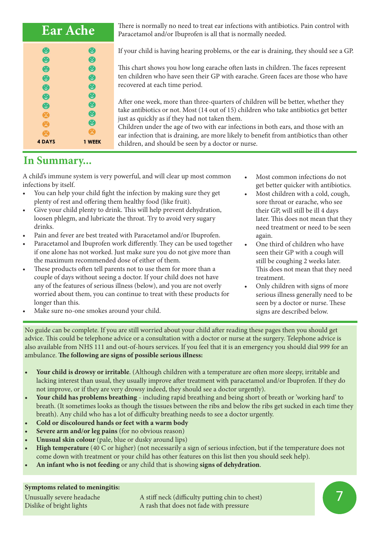| <b>Ear Ache</b> |                       |  |
|-----------------|-----------------------|--|
| O               | $\boldsymbol{\Theta}$ |  |
| ❻               | $\bullet$             |  |
| $\bullet$       | $\bullet$             |  |
| G               | $\bullet$             |  |
| O               | $\bullet$             |  |
| $\bm{c}$        | $\bullet$             |  |
| O               | ❺                     |  |
| Χ               | $\bullet$             |  |
| Ξ               | $\bullet$             |  |
| Ŧ               |                       |  |
| <b>4 DAYS</b>   | 1 WEEK                |  |

There is normally no need to treat ear infections with antibiotics. Pain control with Paracetamol and/or Ibuprofen is all that is normally needed.

If your child is having hearing problems, or the ear is draining, they should see a GP.

This chart shows you how long earache often lasts in children. The faces represent ten children who have seen their GP with earache. Green faces are those who have recovered at each time period.

After one week, more than three-quarters of children will be better, whether they take antibiotics or not. Most (14 out of 15) children who take antibiotics get better just as quickly as if they had not taken them.

Children under the age of two with ear infections in both ears, and those with an ear infection that is draining, are more likely to benefit from antibiotics than other children, and should be seen by a doctor or nurse.

#### **In Summary...**

A child's immune system is very powerful, and will clear up most common infections by itself.

- You can help your child fight the infection by making sure they get plenty of rest and offering them healthy food (like fruit).
- Give your child plenty to drink. This will help prevent dehydration, loosen phlegm, and lubricate the throat. Try to avoid very sugary drinks.
- Pain and fever are best treated with Paracetamol and/or Ibuprofen.
- Paracetamol and Ibuprofen work differently. They can be used together if one alone has not worked. Just make sure you do not give more than the maximum recommended dose of either of them.
- These products often tell parents not to use them for more than a couple of days without seeing a doctor. If your child does not have any of the features of serious illness (below), and you are not overly worried about them, you can continue to treat with these products for longer than this.
- later. This does not mean that they need treatment or need to be seen again.
	- One third of children who have seen their GP with a cough will still be coughing 2 weeks later. This does not mean that they need treatment.

• Most common infections do not get better quicker with antibiotics. • Most children with a cold, cough, sore throat or earache, who see their GP, will still be ill 4 days

• Only children with signs of more serious illness generally need to be seen by a doctor or nurse. These signs are described below.

Make sure no-one smokes around your child.

No guide can be complete. If you are still worried about your child after reading these pages then you should get advice. This could be telephone advice or a consultation with a doctor or nurse at the surgery. Telephone advice is also available from NHS 111 and out-of-hours services. If you feel that it is an emergency you should dial 999 for an ambulance. **The following are signs of possible serious illness:**

- **• Your child is drowsy or irritable**. (Although children with a temperature are often more sleepy, irritable and lacking interest than usual, they usually improve after treatment with paracetamol and/or Ibuprofen. If they do not improve, or if they are very drowsy indeed, they should see a doctor urgently).
- **• Your child has problems breathing** including rapid breathing and being short of breath or 'working hard' to breath. (It sometimes looks as though the tissues between the ribs and below the ribs get sucked in each time they breath). Any child who has a lot of difficulty breathing needs to see a doctor urgently.
- **• Cold or discoloured hands or feet with a warm body**
- **• Severe arm and/or leg pains** (for no obvious reason)
- **• Unusual skin colour** (pale, blue or dusky around lips)
- **• High temperature** (40 C or higher) (not necessarily a sign of serious infection, but if the temperature does not come down with treatment or your child has other features on this list then you should seek help).
- **• An infant who is not feeding** or any child that is showing **signs of dehydration**.

#### **Symptoms related to meningitis:**

Unusually severe headache A stiff neck (difficulty putting chin to chest) Dislike of bright lights A rash that does not fade with pressure